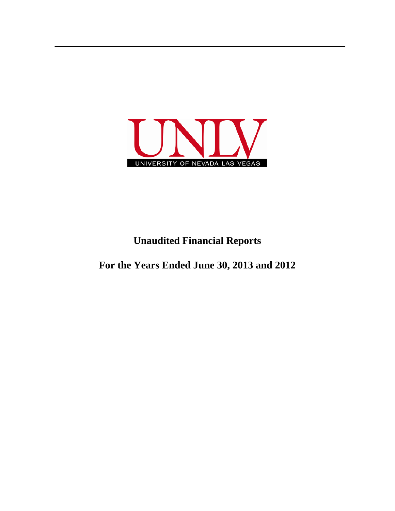

## **Unaudited Financial Reports**

**For the Years Ended June 30, 2013 and 2012**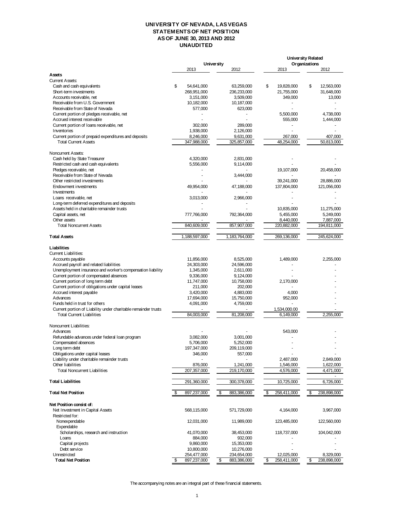## **UNIVERSITY OF NEVADA, LAS VEGAS STATEMENTS OF NET POSITION AS OF JUNE 30, 2013 AND 2012 UNAUDITED**

| <b>University</b><br>2013<br>2012<br>2013<br>Assets<br><b>Current Assets:</b>                                                                                        | Organizations<br>2012 |
|----------------------------------------------------------------------------------------------------------------------------------------------------------------------|-----------------------|
|                                                                                                                                                                      |                       |
|                                                                                                                                                                      |                       |
|                                                                                                                                                                      |                       |
| \$<br>\$<br>19,828,000<br>Cash and cash equivalents<br>54,641,000<br>63,259,000                                                                                      | \$<br>12,563,000      |
| 21,755,000<br>Short-term investments<br>268,951,000<br>236,233,000                                                                                                   | 31,648,000            |
| 3,151,000<br>3,509,000<br>349,000<br>Accounts receivable, net                                                                                                        | 13,000                |
| Receivable from U.S. Government<br>10,182,000<br>10,187,000                                                                                                          |                       |
| Receivable from State of Nevada<br>577,000<br>623,000                                                                                                                |                       |
| Current portion of pledges receivable, net<br>5,500,000                                                                                                              | 4,738,000             |
| Accrued interest receivable<br>555,000                                                                                                                               | 1,444,000             |
| Current portion of Ioans receivable, net<br>302.000<br>289.000                                                                                                       |                       |
| Inventories<br>1,938,000<br>2,126,000                                                                                                                                |                       |
| Current portion of prepaid expenditures and deposits<br>8,246,000<br>267,000<br>9,631,000<br><b>Total Current Assets</b><br>48,254,000<br>347,988,000<br>325,857,000 | 407,000<br>50,813,000 |
|                                                                                                                                                                      |                       |
| Noncurrent Assets:                                                                                                                                                   |                       |
| Cash held by State Treasurer<br>4,320,000<br>2,831,000                                                                                                               |                       |
| Restricted cash and cash equivalents<br>5,556,000<br>9,114,000                                                                                                       |                       |
| Pledges receivable, net<br>19,107,000                                                                                                                                | 20,458,000            |
| Receivable from State of Nevada<br>3,444,000<br>Other restricted investments<br>39,241,000                                                                           | 28,886,000            |
| 49,954,000<br>47,188,000<br>137,804,000<br>Endowment investments                                                                                                     | 121,056,000           |
| Investments                                                                                                                                                          |                       |
| 3,013,000<br>2,966,000<br>Loans receivable, net                                                                                                                      |                       |
| Long-term deferred expenditures and deposits                                                                                                                         |                       |
| Assets held in charitable remainder trusts<br>10,835,000                                                                                                             | 11,275,000            |
| Capital assets, net<br>5,455,000<br>777,766,000<br>792,364,000                                                                                                       | 5,249,000             |
| Other assets<br>8,440,000                                                                                                                                            | 7,887,000             |
| 840,609,000<br>857,907,000<br><b>Total Noncurrent Assets</b><br>220,882,000                                                                                          | 194,811,000           |
| 1,183,764,000<br><b>Total Assets</b><br>1,188,597,000<br>269,136,000                                                                                                 | 245,624,000           |
| Liabilities                                                                                                                                                          |                       |
| Current Liabilities:                                                                                                                                                 |                       |
| 8,525,000<br>1,489,000<br>Accounts payable<br>11,856,000                                                                                                             | 2,255,000             |
| Accrued payroll and related liabilities<br>24,303,000<br>24,596,000                                                                                                  |                       |
| Unemployment insurance and worker's compensation liability<br>1,345,000<br>2,611,000                                                                                 |                       |
| Current portion of compensated absences<br>9,336,000<br>9,124,000                                                                                                    |                       |
| Current portion of long term debt<br>11,747,000<br>10,758,000<br>2,170,000                                                                                           |                       |
| Current portion of obligations under capital leases<br>211,000<br>202,000                                                                                            |                       |
| Accrued interest payable<br>3,420,000<br>4,883,000<br>4,000                                                                                                          |                       |
| Advances<br>17,694,000<br>15,750,000<br>952,000                                                                                                                      |                       |
| Funds held in trust for others<br>4,091,000<br>4,759,000                                                                                                             |                       |
| Current portion of Liability under charitable remainder trusts<br>1,534,000.00                                                                                       |                       |
| 84,003,000<br>81,208,000<br><b>Total Current Liabilities</b><br>6,149,000                                                                                            | 2,255,000             |
| Noncurrent Liabilities:                                                                                                                                              |                       |
| 543.000<br>Advances                                                                                                                                                  |                       |
| Refundable advances under federal Ioan program<br>3,082,000<br>3,001,000                                                                                             |                       |
| 5,706,000<br>5,252,000<br>Compensated absences                                                                                                                       |                       |
| 209,119,000<br>Long term debt<br>197,347,000                                                                                                                         |                       |
| Obligations under capital leases<br>346,000<br>557,000                                                                                                               |                       |
| Liability under charitable remainder trusts<br>2,487,000                                                                                                             | 2,849,000             |
| Other liabilities<br>876,000<br>1,241,000<br>1,546,000                                                                                                               | 1,622,000             |
| <b>Total Noncurrent Liabilities</b><br>207,357,000<br>219,170,000<br>4,576,000                                                                                       | 4,471,000             |
| <b>Total Liabilities</b><br>291,360,000<br>300,378,000<br>10,725,000                                                                                                 | 6,726,000             |
| <b>Total Net Position</b><br>\$<br>897,237,000<br>\$<br>883,386,000<br>\$<br>258,411,000                                                                             | \$<br>238,898,000     |
| Net Position consist of:                                                                                                                                             |                       |
| Net Investment in Capital Assets<br>568,115,000<br>571,729,000<br>4,164,000                                                                                          | 3,967,000             |
| Restricted for:                                                                                                                                                      |                       |
| Nonexpendable<br>12,031,000<br>11,989,000<br>123,485,000                                                                                                             | 122,560,000           |
| Expendable                                                                                                                                                           |                       |
| Scholarships, research and instruction<br>41,070,000<br>38,453,000<br>118,737,000                                                                                    | 104,042,000           |
| Loans<br>884,000<br>932,000<br>Capital projects<br>9,860,000<br>15,353,000                                                                                           |                       |
| Debt service<br>10,800,000<br>10,276,000                                                                                                                             |                       |
| Unrestricted<br>254,477,000<br>234,654,000<br>12,025,000                                                                                                             | 8,329,000             |
| <b>Total Net Position</b><br>\$<br>897,237,000<br>\$<br>883,386,000<br>\$<br>258,411,000                                                                             | \$<br>238,898,000     |

The accompanying notes are an integral part of these financial statements.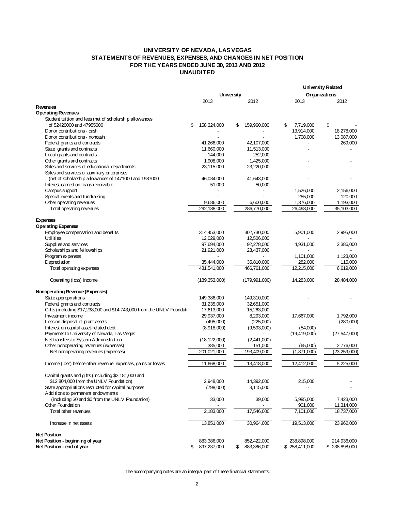## **UNIVERSITY OF NEVADA, LAS VEGAS STATEMENTS OF REVENUES, EXPENSES, AND CHANGES IN NET POSITION FOR THE YEARS ENDED JUNE 30, 2013 AND 2012 UNAUDITED**

|                                                                                       |                           |                   |                 | <b>University Related</b> |
|---------------------------------------------------------------------------------------|---------------------------|-------------------|-----------------|---------------------------|
|                                                                                       |                           | <b>University</b> |                 | Organizations             |
|                                                                                       | 2013                      | 2012              | 2013            | 2012                      |
| Revenues                                                                              |                           |                   |                 |                           |
| <b>Operating Revenues</b>                                                             |                           |                   |                 |                           |
| Student tuition and fees (net of scholarship allowances                               |                           |                   |                 |                           |
| of 52420000 and 47955000                                                              | \$<br>158,324,000         | 159,960,000<br>\$ | 7,719,000<br>\$ | \$                        |
| Donor contributions - cash                                                            |                           |                   | 13,914,000      | 18,278,000                |
| Donor contributions - noncash                                                         |                           |                   | 1,708,000       | 13,087,000                |
| Federal grants and contracts                                                          | 41,266,000                | 42,107,000        |                 | 269,000                   |
| State grants and contracts                                                            | 11,660,000                | 11,513,000        |                 |                           |
| Local grants and contracts                                                            | 144,000                   | 252,000           |                 |                           |
| Other grants and contracts                                                            | 1,908,000                 | 1,425,000         |                 |                           |
| Sales and services of educational departments                                         | 23,115,000                | 23,220,000        |                 |                           |
| Sales and services of auxiliary enterprises                                           |                           |                   |                 |                           |
| (net of scholarship allowances of 1471000 and 1987000                                 | 46,034,000                | 41,643,000        |                 |                           |
| Interest earned on loans receivable                                                   | 51,000                    | 50,000            |                 |                           |
| Campus support                                                                        |                           |                   | 1,526,000       | 2,156,000                 |
| Special events and fundraising                                                        |                           |                   | 255,000         | 120,000                   |
| Other operating revenues                                                              | 9,686,000                 | 6,600,000         | 1,376,000       | 1,193,000                 |
| Total operating revenues                                                              | 292,188,000               | 286,770,000       | 26,498,000      | 35,103,000                |
|                                                                                       |                           |                   |                 |                           |
| <b>Expenses</b>                                                                       |                           |                   |                 |                           |
| <b>Operating Expenses</b>                                                             |                           |                   |                 |                           |
| Employee compensation and benefits                                                    | 314,453,000               | 302,730,000       | 5,901,000       | 2,995,000                 |
| Utilities                                                                             | 12,029,000                | 12,506,000        |                 |                           |
| Supplies and services                                                                 | 97,694,000                | 92,278,000        | 4,931,000       | 2,386,000                 |
| Scholarships and fellowships                                                          | 21,921,000                | 23,437,000        |                 |                           |
| Program expenses                                                                      |                           |                   | 1,101,000       | 1,123,000                 |
| Depreciation                                                                          | 35,444,000                | 35,810,000        | 282,000         | 115,000                   |
| Total operating expenses                                                              | 481,541,000               | 466,761,000       | 12,215,000      | 6,619,000                 |
|                                                                                       |                           |                   |                 |                           |
| Operating (loss) income                                                               | (189, 353, 000)           | (179, 991, 000)   | 14,283,000      | 28,484,000                |
|                                                                                       |                           |                   |                 |                           |
| Nonoperating Revenue (Expenses)                                                       |                           |                   |                 |                           |
| State appropriations                                                                  | 149,386,000               | 149,310,000       |                 |                           |
| Federal grants and contracts                                                          | 31,235,000                | 32,651,000        |                 |                           |
| Gifts (including \$17,238,000 and \$14,743,000 from the UNLV Foundation               | 17,613,000                | 15,263,000        |                 |                           |
| Investment income                                                                     | 29,937,000                | 8,293,000         | 17,667,000      | 1,792,000                 |
| Loss on disposal of plant assets                                                      | (495,000)                 | (225,000)         |                 | (280,000)                 |
| Interest on capital asset-related debt                                                | (8,918,000)               | (9,593,000)       | (54,000)        |                           |
|                                                                                       |                           |                   | (19, 419, 000)  |                           |
| Payments to University of Nevada, Las Vegas<br>Net transfers to System Administration |                           |                   |                 | (27, 547, 000)            |
| Other nonoperating revenues (expenses)                                                | (18, 122, 000)<br>385,000 | (2,441,000)       | (65,000)        | 2,776,000                 |
|                                                                                       |                           | 151,000           | (1,871,000)     |                           |
| Net nonoperating revenues (expenses)                                                  | 201,021,000               | 193,409,000       |                 | (23,259,000)              |
|                                                                                       |                           |                   |                 |                           |
| Income (loss) before other revenue, expenses, gains or losses                         | 11,668,000                | 13,418,000        | 12,412,000      | 5,225,000                 |
|                                                                                       |                           |                   |                 |                           |
| Capital grants and gifts (including \$2,181,000 and                                   |                           |                   |                 |                           |
| \$12,804,000 from the UNLV Foundation)                                                | 2,948,000                 | 14,392,000        | 215,000         |                           |
| State appropriations restricted for capital purposes                                  | (798,000)                 | 3,115,000         |                 |                           |
| Additions to permanent endowments                                                     |                           |                   |                 |                           |
| (including \$0 and \$0 from the UNLV Foundation)                                      | 33,000                    | 39,000            | 5,985,000       | 7,423,000                 |
| Other Foundation                                                                      |                           |                   | 901,000         | 11,314,000                |
| Total other revenues                                                                  | 2,183,000                 | 17,546,000        | 7,101,000       | 18,737,000                |
|                                                                                       |                           |                   |                 |                           |
| Increase in net assets                                                                | 13,851,000                | 30,964,000        | 19,513,000      | 23,962,000                |
|                                                                                       |                           |                   |                 |                           |
| <b>Net Position</b>                                                                   |                           |                   |                 |                           |
| Net Position - beginning of year                                                      | 883,386,000               | 852,422,000       | 238,898,000     | 214,936,000               |
| Net Position - end of year                                                            | \$<br>897,237,000         | \$<br>883,386,000 | \$258,411,000   | \$238.898.000             |

The accompanying notes are an integral part of these financial statements.